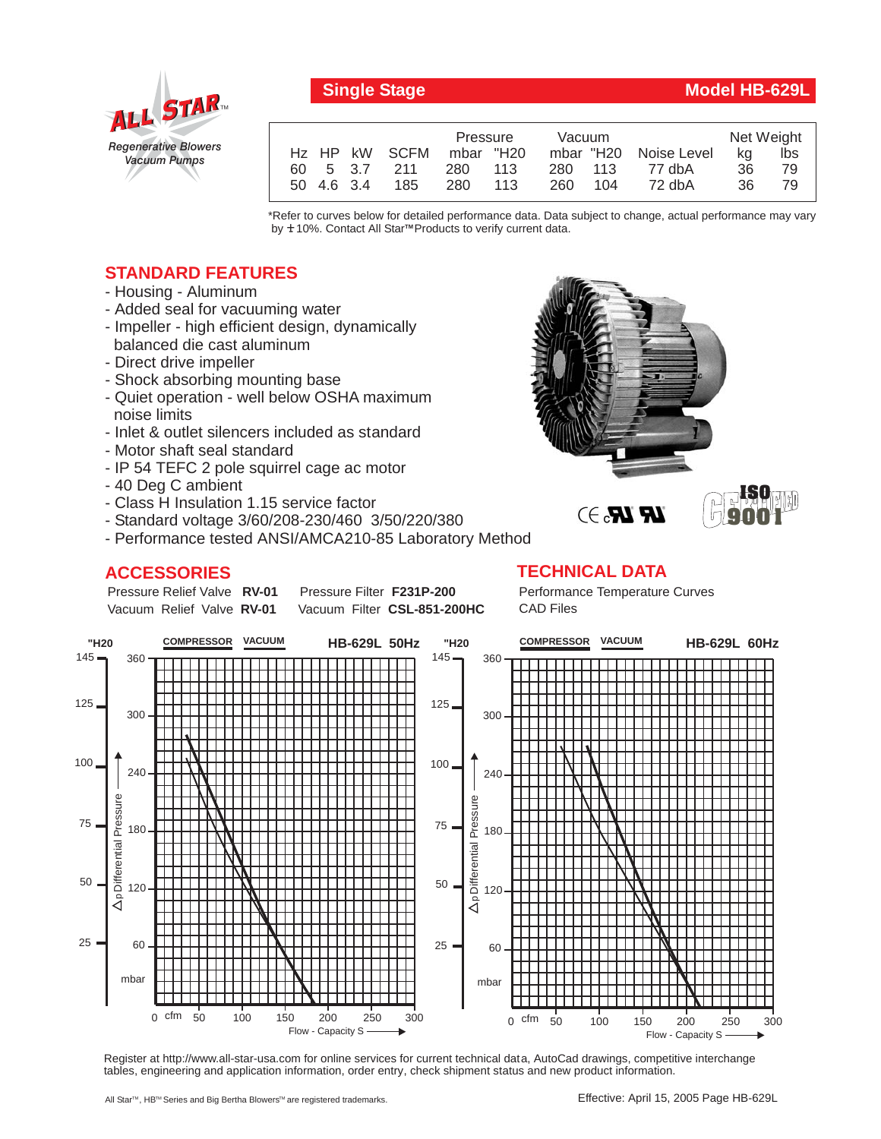

## **Single Stage Model HB-629L**

**ISO 9001**

|  |            |                           | Pressure  |       | <b>Vacuum</b> |     |                       | Net Weight |     |
|--|------------|---------------------------|-----------|-------|---------------|-----|-----------------------|------------|-----|
|  |            | H <sub>z</sub> HP kW SCFM | mbar "H20 |       |               |     | mbar "H20 Noise Level | ka         | Ibs |
|  |            | 60 5 3.7 211              | 280 113   |       | 280 113       |     | 77 dbA                | 36         | 79. |
|  | 50 4.6 3.4 | 185                       | 280       | - 113 | 260           | 104 | 72 dbA                | 36         | 79  |

\*Refer to curves below for detailed performance data. Data subject to change, actual performance may vary by **+** 10%. Contact All Star™Products to verify current data.

## **STANDARD FEATURES**

- Housing Aluminum
- Added seal for vacuuming water
- Impeller high efficient design, dynamically balanced die cast aluminum
- Direct drive impeller
- Shock absorbing mounting base
- Quiet operation well below OSHA maximum noise limits
- Inlet & outlet silencers included as standard
- Motor shaft seal standard
- IP 54 TEFC 2 pole squirrel cage ac motor
- 40 Deg C ambient
- Class H Insulation 1.15 service factor
- Standard voltage 3/60/208-230/460 3/50/220/380
- Performance tested ANSI/AMCA210-85 Laboratory Method

## **ACCESSORIES**

Pressure Relief Valve RV-01 Vacuum Relief Valve RV-01

**Pressure Filter F231P-200** Vacuum Filter CSL-851-200HC

# **TECHNICAL DATA**

Performance Temperature Curves CAD Files

 $\mathbb{R}$   $\mathbb{R}$ . $\ni$ 



Register at http://www.all-star-usa.com for online services for current technical data, AutoCad drawings, competitive interchange tables, engineering and application information, order entry, check shipment status and new product information.